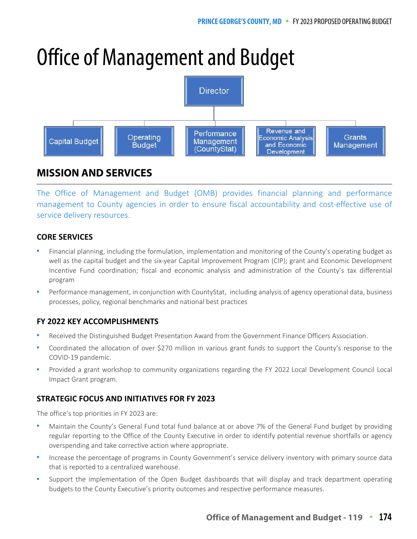# Office of Management and Budget



# **MISSION AND SERVICES**

The Office of Management and Budget (OMB) provides financial planning and performance management to County agencies in order to ensure fiscal accountability and cost-effective use of service delivery resources.

# **CORE SERVICES**

- Financial planning, including the formulation, implementation and monitoring of the County's operating budget as well as the capital budget and the six-year Capital Improvement Program (CIP); grant and Economic Development Incentive Fund coordination; fiscal and economic analysis and administration of the County's tax differential program
- Performance management, in conjunction with CountyStat, including analysis of agency operational data, business processes, policy, regional benchmarks and national best practices

## **FY 2022 KEY ACCOMPLISHMENTS**

- Received the Distinguished Budget Presentation Award from the Government Finance Officers Association.
- Coordinated the allocation of over \$270 million in various grant funds to support the County's response to the COVID-19 pandemic.
- Provided a grant workshop to community organizations regarding the FY 2022 Local Development Council Local Impact Grant program.

## **STRATEGIC FOCUS AND INITIATIVES FOR FY 2023**

The office's top priorities in FY 2023 are:

- Maintain the County's General Fund total fund balance at or above 7% of the General Fund budget by providing regular reporting to the Office of the County Executive in order to identify potential revenue shortfalls or agency overspending and take corrective action where appropriate.
- Increase the percentage of programs in County Government's service delivery inventory with primary source data that is reported to a centralized warehouse.
- Support the implementation of the Open Budget dashboards that will display and track department operating budgets to the County Executive's priority outcomes and respective performance measures.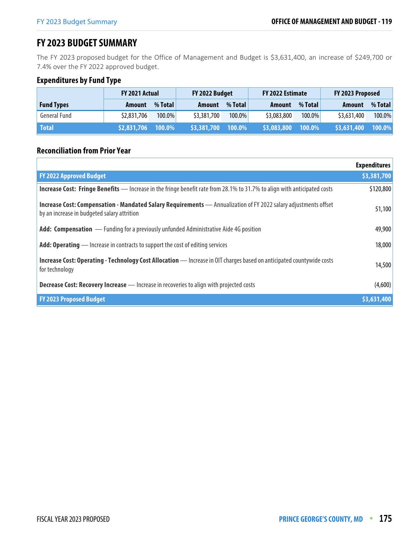# **FY 2023 BUDGET SUMMARY**

The FY 2023 proposed budget for the Office of Management and Budget is \$3,631,400, an increase of \$249,700 or 7.4% over the FY 2022 approved budget.

## **Expenditures by Fund Type**

|                   | <b>FY 2021 Actual</b> |         | FY 2022 Budget |         | FY 2022 Estimate |           | FY 2023 Proposed |           |
|-------------------|-----------------------|---------|----------------|---------|------------------|-----------|------------------|-----------|
| <b>Fund Types</b> | Amount                | % Total | Amount         | % Total | Amount           | % Total   | <b>Amount</b>    | % Total   |
| General Fund      | \$2,831,706           | 100.0%  | \$3,381,700    | 100.0%  | \$3,083,800      | 100.0%    | \$3,631,400      | $100.0\%$ |
| <b>Total</b>      | \$2,831,706           | 100.0%  | \$3,381,700    | 100.0%  | \$3,083,800      | $100.0\%$ | \$3,631,400      | 100.0%    |

#### **Reconciliation from Prior Year**

|                                                                                                                                                                | <b>Expenditures</b> |
|----------------------------------------------------------------------------------------------------------------------------------------------------------------|---------------------|
| <b>FY 2022 Approved Budget</b>                                                                                                                                 | \$3,381,700         |
| <b>Increase Cost: Fringe Benefits</b> — Increase in the fringe benefit rate from 28.1% to 31.7% to align with anticipated costs                                | \$120,800           |
| Increase Cost: Compensation - Mandated Salary Requirements - Annualization of FY 2022 salary adjustments offset<br>by an increase in budgeted salary attrition | 51,100              |
| Add: Compensation — Funding for a previously unfunded Administrative Aide 4G position                                                                          | 49,900              |
| <b>Add: Operating</b> — Increase in contracts to support the cost of editing services                                                                          | 18,000              |
| <b>Increase Cost: Operating - Technology Cost Allocation</b> - Increase in OIT charges based on anticipated countywide costs<br>for technology                 | 14,500              |
| <b>Decrease Cost: Recovery Increase</b> - Increase in recoveries to align with projected costs                                                                 | (4,600)             |
| <b>FY 2023 Proposed Budget</b>                                                                                                                                 | 53,631,400          |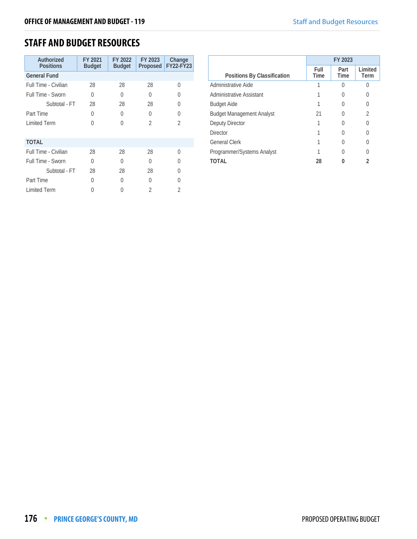# **STAFF AND BUDGET RESOURCES**

| Authorized<br><b>Positions</b> | FY 2021<br><b>Budget</b> | FY 2022<br><b>Budget</b> | FY 2023<br>Proposed | Change<br>FY22-FY23 |
|--------------------------------|--------------------------|--------------------------|---------------------|---------------------|
| <b>General Fund</b>            |                          |                          |                     |                     |
| Full Time - Civilian           | 28                       | 28                       | 28                  | ∩                   |
| Full Time - Sworn              | 0                        | 0                        | 0                   | 0                   |
| Subtotal - FT                  | 28                       | 28                       | 28                  | O                   |
| Part Time                      | 0                        | 0                        | 0                   | U                   |
| <b>Limited Term</b>            | U                        | O                        | $\overline{2}$      | $\overline{2}$      |
|                                |                          |                          |                     |                     |
| <b>TOTAL</b>                   |                          |                          |                     |                     |
| Full Time - Civilian           | 28                       | 28                       | 28                  | $\Omega$            |
| Full Time - Sworn              | U                        | O                        | 0                   | U                   |
| Subtotal - FT                  | 28                       | 28                       | 28                  | U                   |
| Part Time                      | 0                        | 0                        | 0                   | O                   |
| <b>Limited Term</b>            |                          |                          | 2                   | 2                   |

|                                  | FY 2023      |                     |                 |  |
|----------------------------------|--------------|---------------------|-----------------|--|
| Positions By Classification      | Full<br>Time | Part<br><b>Time</b> | Limited<br>Term |  |
| Administrative Aide              |              |                     |                 |  |
| Administrative Assistant         |              |                     |                 |  |
| <b>Budget Aide</b>               |              |                     |                 |  |
| <b>Budget Management Analyst</b> | 21           |                     | 2               |  |
| Deputy Director                  |              |                     |                 |  |
| <b>Director</b>                  |              |                     |                 |  |
| <b>General Clerk</b>             |              |                     |                 |  |
| Programmer/Systems Analyst       |              |                     |                 |  |
| TOTAL                            | 28           |                     |                 |  |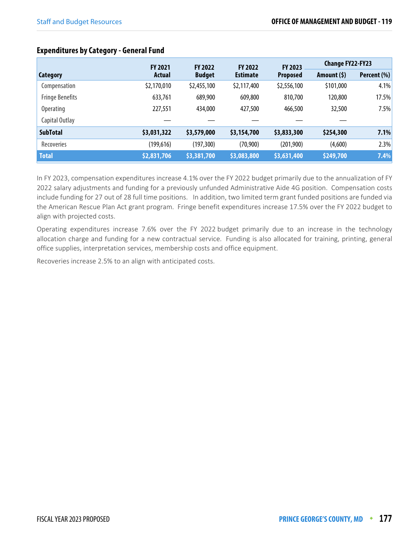|                        | <b>FY 2021</b> |               | <b>FY 2022</b><br><b>FY 2022</b> |                            | <b>Change FY22-FY23</b> |             |
|------------------------|----------------|---------------|----------------------------------|----------------------------|-------------------------|-------------|
| Category               | Actual         | <b>Budget</b> | <b>Estimate</b>                  | FY 2023<br><b>Proposed</b> | Amount $(5)$            | Percent (%) |
| Compensation           | \$2,170,010    | \$2,455,100   | \$2,117,400                      | \$2,556,100                | \$101,000               | 4.1%        |
| <b>Fringe Benefits</b> | 633,761        | 689,900       | 609,800                          | 810,700                    | 120,800                 | 17.5%       |
| <b>Operating</b>       | 227,551        | 434,000       | 427,500                          | 466,500                    | 32,500                  | 7.5%        |
| Capital Outlay         |                |               |                                  |                            |                         |             |
| <b>SubTotal</b>        | \$3,031,322    | \$3,579,000   | \$3,154,700                      | \$3,833,300                | \$254,300               | 7.1%        |
| Recoveries             | (199, 616)     | (197, 300)    | (70, 900)                        | (201, 900)                 | (4,600)                 | 2.3%        |
| <b>Total</b>           | \$2,831,706    | \$3,381,700   | \$3,083,800                      | \$3,631,400                | \$249,700               | 7.4%        |

#### **Expenditures by Category - General Fund**

In FY 2023, compensation expenditures increase 4.1% over the FY 2022 budget primarily due to the annualization of FY 2022 salary adjustments and funding for a previously unfunded Administrative Aide 4G position. Compensation costs include funding for 27 out of 28 full time positions. In addition, two limited term grant funded positions are funded via the American Rescue Plan Act grant program. Fringe benefit expenditures increase 17.5% over the FY 2022 budget to align with projected costs.

Operating expenditures increase 7.6% over the FY 2022 budget primarily due to an increase in the technology allocation charge and funding for a new contractual service. Funding is also allocated for training, printing, general office supplies, interpretation services, membership costs and office equipment.

Recoveries increase 2.5% to an align with anticipated costs.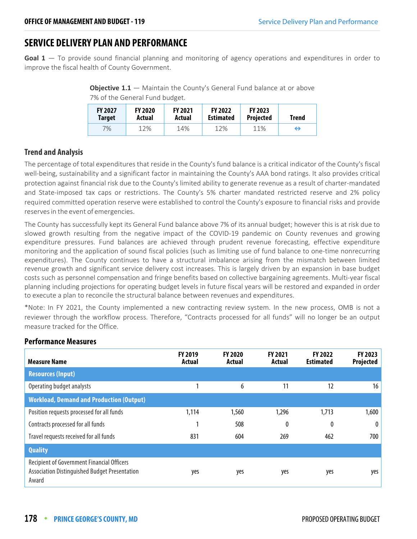# **SERVICE DELIVERY PLAN AND PERFORMANCE**

**Goal 1** — To provide sound financial planning and monitoring of agency operations and expenditures in order to improve the fiscal health of County Government.

**Objective 1.1** – Maintain the County's General Fund balance at or above 7% of the General Fund budget.

| <b>FY 2027</b> | <b>FY 2020</b> | <b>FY 2021</b> | <b>FY 2022</b>   | <b>FY 2023</b>   | Trend |
|----------------|----------------|----------------|------------------|------------------|-------|
| Target         | Actual         | Actual         | <b>Estimated</b> | <b>Projected</b> |       |
| 7%             | 12%            | 14%            | 12%              | 11%              | ⇔     |

#### **Trend and Analysis**

The percentage of total expenditures that reside in the County's fund balance is a critical indicator of the County's fiscal well-being, sustainability and a significant factor in maintaining the County's AAA bond ratings. It also provides critical protection against financial risk due to the County's limited ability to generate revenue as a result of charter-mandated and State-imposed tax caps or restrictions. The County's 5% charter mandated restricted reserve and 2% policy required committed operation reserve were established to control the County's exposure to financial risks and provide reserves in the event of emergencies.

The County has successfully kept its General Fund balance above 7% of its annual budget; however this is at risk due to slowed growth resulting from the negative impact of the COVID-19 pandemic on County revenues and growing expenditure pressures. Fund balances are achieved through prudent revenue forecasting, effective expenditure monitoring and the application of sound fiscal policies (such as limiting use of fund balance to one-time nonrecurring expenditures). The County continues to have a structural imbalance arising from the mismatch between limited revenue growth and significant service delivery cost increases. This is largely driven by an expansion in base budget costs such as personnel compensation and fringe benefits based on collective bargaining agreements. Multi-year fiscal planning including projections for operating budget levels in future fiscal years will be restored and expanded in order to execute a plan to reconcile the structural balance between revenues and expenditures.

\*Note: In FY 2021, the County implemented a new contracting review system. In the new process, OMB is not a reviewer through the workflow process. Therefore, "Contracts processed for all funds" will no longer be an output measure tracked for the Office.

| <b>Measure Name</b>                                                                                         | <b>FY 2019</b><br>Actual | <b>FY 2020</b><br>Actual | <b>FY 2021</b><br>Actual | <b>FY 2022</b><br><b>Estimated</b> | FY 2023<br>Projected |
|-------------------------------------------------------------------------------------------------------------|--------------------------|--------------------------|--------------------------|------------------------------------|----------------------|
| <b>Resources (Input)</b>                                                                                    |                          |                          |                          |                                    |                      |
| Operating budget analysts                                                                                   |                          | 6                        | 11                       | 12                                 | 16                   |
| <b>Workload, Demand and Production (Output)</b>                                                             |                          |                          |                          |                                    |                      |
| Position requests processed for all funds                                                                   | 1,114                    | 1,560                    | 1,296                    | 1,713                              | 1,600                |
| Contracts processed for all funds                                                                           |                          | 508                      | 0                        | 0                                  | $\bf{0}$             |
| Travel requests received for all funds                                                                      | 831                      | 604                      | 269                      | 462                                | 700                  |
| <b>Quality</b>                                                                                              |                          |                          |                          |                                    |                      |
| <b>Recipient of Government Financial Officers</b><br>Association Distinguished Budget Presentation<br>Award | yes                      | yes                      | yes                      | yes                                | yes                  |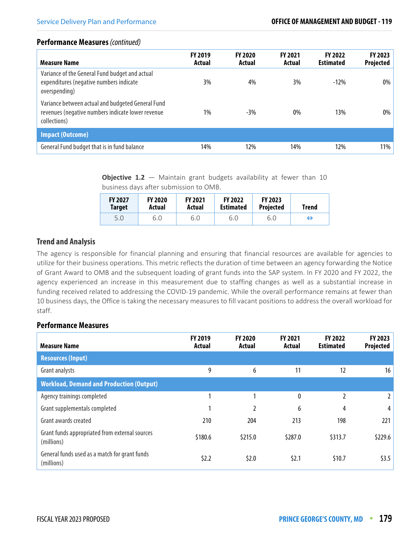| Measure Name                                                                                                           | <b>FY 2019</b><br>Actual | <b>FY 2020</b><br>Actual | <b>FY 2021</b><br><b>Actual</b> | <b>FY 2022</b><br><b>Estimated</b> | FY 2023<br>Projected |
|------------------------------------------------------------------------------------------------------------------------|--------------------------|--------------------------|---------------------------------|------------------------------------|----------------------|
| Variance of the General Fund budget and actual<br>expenditures (negative numbers indicate<br>overspending)             | 3%                       | 4%                       | 3%                              | $-12%$                             | 0%                   |
| Variance between actual and budgeted General Fund<br>revenues (negative numbers indicate lower revenue<br>collections) | 1%                       | $-3\%$                   | $0\%$                           | 13%                                | 0%                   |
| <b>Impact (Outcome)</b>                                                                                                |                          |                          |                                 |                                    |                      |
| General Fund budget that is in fund balance                                                                            | 14%                      | 12%                      | 14%                             | 12%                                | 11%                  |

**Objective 1.2** – Maintain grant budgets availability at fewer than 10 business days after submission to OMB.

| <b>FY 2027</b> | <b>FY 2020</b> | <b>FY 2021</b> | <b>FY 2022</b>   | <b>FY 2023</b>   | <b>Trend</b> |
|----------------|----------------|----------------|------------------|------------------|--------------|
| <b>Target</b>  | Actual         | Actual         | <b>Estimated</b> | <b>Projected</b> |              |
| 5.0            | 6.0            | 6.0            | 6.0              | 6.0              | ⇔            |

#### **Trend and Analysis**

The agency is responsible for financial planning and ensuring that financial resources are available for agencies to utilize for their business operations. This metric reflects the duration of time between an agency forwarding the Notice of Grant Award to OMB and the subsequent loading of grant funds into the SAP system. In FY 2020 and FY 2022, the agency experienced an increase in this measurement due to staffing changes as well as a substantial increase in funding received related to addressing the COVID-19 pandemic. While the overall performance remains at fewer than 10 business days, the Office is taking the necessary measures to fill vacant positions to address the overall workload for staff.

| <b>Measure Name</b>                                          | FY 2019<br>Actual | <b>FY 2020</b><br><b>Actual</b> | <b>FY 2021</b><br>Actual | <b>FY 2022</b><br><b>Estimated</b> | FY 2023<br>Projected |
|--------------------------------------------------------------|-------------------|---------------------------------|--------------------------|------------------------------------|----------------------|
| <b>Resources (Input)</b>                                     |                   |                                 |                          |                                    |                      |
| Grant analysts                                               | 9                 | 6                               | 11                       | 12                                 | 16                   |
| <b>Workload, Demand and Production (Output)</b>              |                   |                                 |                          |                                    |                      |
| Agency trainings completed                                   |                   |                                 | $\mathbf{0}$             | $\overline{2}$                     |                      |
| Grant supplementals completed                                | 1                 | 2                               | 6                        | 4                                  | 4                    |
| Grant awards created                                         | 210               | 204                             | 213                      | 198                                | 221                  |
| Grant funds appropriated from external sources<br>(millions) | \$180.6           | \$215.0                         | \$287.0                  | \$313.7                            | \$229.6              |
| General funds used as a match for grant funds<br>(millions)  | \$2.2             | \$2.0                           | \$2.1                    | \$10.7                             | \$3.5                |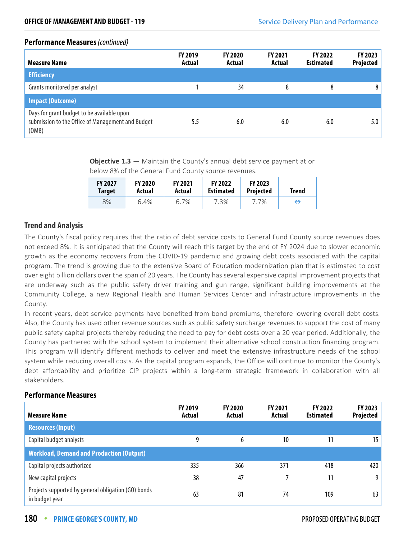| <b>Measure Name</b>                                                                                      | <b>FY 2019</b><br>Actual | <b>FY 2020</b><br>Actual | <b>FY 2021</b><br>Actual | <b>FY 2022</b><br><b>Estimated</b> | <b>FY 2023</b><br>Projected |
|----------------------------------------------------------------------------------------------------------|--------------------------|--------------------------|--------------------------|------------------------------------|-----------------------------|
| <b>Efficiency</b>                                                                                        |                          |                          |                          |                                    |                             |
| Grants monitored per analyst                                                                             |                          | 34                       | 8                        | 8                                  | 8                           |
| <b>Impact (Outcome)</b>                                                                                  |                          |                          |                          |                                    |                             |
| Days for grant budget to be available upon<br>submission to the Office of Management and Budget<br>(OMB) | 5.5                      | 6.0                      | 6.0                      | 6.0                                | 5.0                         |

**Objective 1.3** — Maintain the County's annual debt service payment at or below 8% of the General Fund County source revenues.

| <b>FY 2027</b> | <b>FY 2020</b> | <b>FY 2021</b> | <b>FY 2022</b>   | <b>FY 2023</b>   | Trend |
|----------------|----------------|----------------|------------------|------------------|-------|
| <b>Target</b>  | Actual         | Actual         | <b>Estimated</b> | <b>Projected</b> |       |
| 8%             | 6.4%           | 6.7%           | 7.3%             | 7.7%             | ⇔     |

#### **Trend and Analysis**

The County's fiscal policy requires that the ratio of debt service costs to General Fund County source revenues does not exceed 8%. It is anticipated that the County will reach this target by the end of FY 2024 due to slower economic growth as the economy recovers from the COVID-19 pandemic and growing debt costs associated with the capital program. The trend is growing due to the extensive Board of Education modernization plan that is estimated to cost over eight billion dollars over the span of 20 years. The County has several expensive capital improvement projects that are underway such as the public safety driver training and gun range, significant building improvements at the Community College, a new Regional Health and Human Services Center and infrastructure improvements in the County.

In recent years, debt service payments have benefited from bond premiums, therefore lowering overall debt costs. Also, the County has used other revenue sources such as public safety surcharge revenues to support the cost of many public safety capital projects thereby reducing the need to pay for debt costs over a 20 year period. Additionally, the County has partnered with the school system to implement their alternative school construction financing program. This program will identify different methods to deliver and meet the extensive infrastructure needs of the school system while reducing overall costs. As the capital program expands, the Office will continue to monitor the County's debt affordability and prioritize CIP projects within a long-term strategic framework in collaboration with all stakeholders.

| <b>Measure Name</b>                                                   | <b>FY 2019</b><br>Actual | <b>FY 2020</b><br>Actual | <b>FY 2021</b><br>Actual | <b>FY 2022</b><br><b>Estimated</b> | <b>FY 2023</b><br>Projected |
|-----------------------------------------------------------------------|--------------------------|--------------------------|--------------------------|------------------------------------|-----------------------------|
| <b>Resources (Input)</b>                                              |                          |                          |                          |                                    |                             |
| Capital budget analysts                                               | 9                        | 6                        | 10                       | 11                                 | 15                          |
| <b>Workload, Demand and Production (Output)</b>                       |                          |                          |                          |                                    |                             |
| Capital projects authorized                                           | 335                      | 366                      | 371                      | 418                                | 420                         |
| New capital projects                                                  | 38                       | 47                       |                          | 11                                 | 9                           |
| Projects supported by general obligation (GO) bonds<br>in budget year | 63                       | 81                       | 74                       | 109                                | 63                          |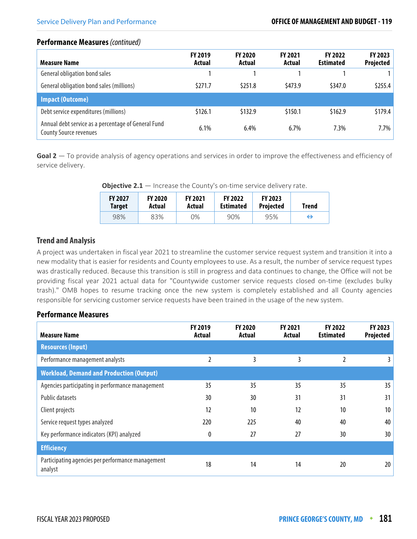| <b>Measure Name</b>                                                                  | <b>FY 2019</b><br>Actual | <b>FY 2020</b><br>Actual | FY 2021<br>Actual | <b>FY 2022</b><br><b>Estimated</b> | FY 2023<br>Projected |
|--------------------------------------------------------------------------------------|--------------------------|--------------------------|-------------------|------------------------------------|----------------------|
| General obligation bond sales                                                        |                          |                          |                   |                                    |                      |
| General obligation bond sales (millions)                                             | \$271.7                  | \$251.8                  | \$473.9           | \$347.0                            | \$255.4              |
| <b>Impact (Outcome)</b>                                                              |                          |                          |                   |                                    |                      |
| Debt service expenditures (millions)                                                 | \$126.1                  | \$132.9                  | \$150.1           | \$162.9                            | \$179.4              |
| Annual debt service as a percentage of General Fund<br><b>County Source revenues</b> | 6.1%                     | 6.4%                     | 6.7%              | 7.3%                               | 7.7%                 |

**Goal 2** — To provide analysis of agency operations and services in order to improve the effectiveness and efficiency of service delivery.

| <b>Objective 2.1</b> $-$ Increase the County's on-time service delivery rate. |               |               |         |               |  |  |
|-------------------------------------------------------------------------------|---------------|---------------|---------|---------------|--|--|
| P1I A A B                                                                     | <b>EVARDA</b> | <b>EVARDA</b> | P112222 | <b>EVAAAA</b> |  |  |

| <b>FY 2027</b><br>Target | <b>FY 2020</b><br>Actual | <b>FY 2021</b><br>Actual | <b>FY 2022</b><br><b>Estimated</b> | <b>FY 2023</b><br><b>Projected</b> | Trend |
|--------------------------|--------------------------|--------------------------|------------------------------------|------------------------------------|-------|
| 98%                      | 83%                      | 0%                       | 90%                                | 95%                                | ⊖     |

#### **Trend and Analysis**

A project was undertaken in fiscal year 2021 to streamline the customer service request system and transition it into a new modality that is easier for residents and County employees to use. As a result, the number of service request types was drastically reduced. Because this transition is still in progress and data continues to change, the Office will not be providing fiscal year 2021 actual data for "Countywide customer service requests closed on-time (excludes bulky trash)." OMB hopes to resume tracking once the new system is completely established and all County agencies responsible for servicing customer service requests have been trained in the usage of the new system.

| <b>Measure Name</b>                                          | <b>FY 2019</b><br>Actual | <b>FY 2020</b><br>Actual | <b>FY 2021</b><br>Actual | <b>FY 2022</b><br><b>Estimated</b> | FY 2023<br>Projected |
|--------------------------------------------------------------|--------------------------|--------------------------|--------------------------|------------------------------------|----------------------|
| <b>Resources (Input)</b>                                     |                          |                          |                          |                                    |                      |
| Performance management analysts                              | 2                        | 3                        | 3                        | 2                                  | 3                    |
| <b>Workload, Demand and Production (Output)</b>              |                          |                          |                          |                                    |                      |
| Agencies participating in performance management             | 35                       | 35                       | 35                       | 35                                 | 35 <sub>5</sub>      |
| <b>Public datasets</b>                                       | 30                       | 30                       | 31                       | 31                                 | 31                   |
| Client projects                                              | 12                       | 10                       | 12                       | 10                                 | 10                   |
| Service request types analyzed                               | 220                      | 225                      | 40                       | 40                                 | 40                   |
| Key performance indicators (KPI) analyzed                    | 0                        | 27                       | 27                       | 30                                 | 30                   |
| <b>Efficiency</b>                                            |                          |                          |                          |                                    |                      |
| Participating agencies per performance management<br>analyst | 18                       | 14                       | 14                       | 20                                 | 20                   |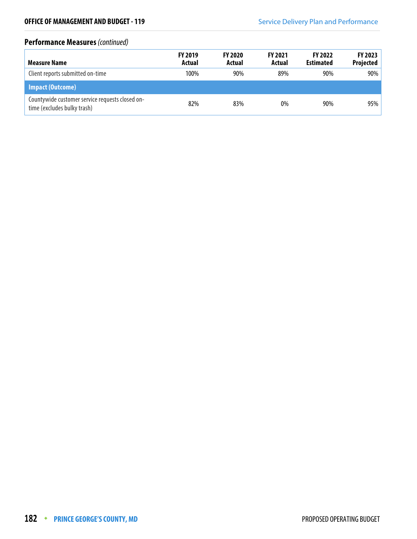| Measure Name                                                                   | <b>FY 2019</b><br>Actual | <b>FY 2020</b><br>Actual | <b>FY 2021</b><br>Actual | <b>FY 2022</b><br><b>Estimated</b> | <b>FY 2023</b><br><b>Projected</b> |
|--------------------------------------------------------------------------------|--------------------------|--------------------------|--------------------------|------------------------------------|------------------------------------|
| Client reports submitted on-time                                               | 100%                     | 90%                      | 89%                      | 90%                                | $90\%$                             |
| Impact (Outcome)                                                               |                          |                          |                          |                                    |                                    |
| Countywide customer service requests closed on-<br>time (excludes bulky trash) | 82%                      | 83%                      | 0%                       | 90%                                | 95%                                |